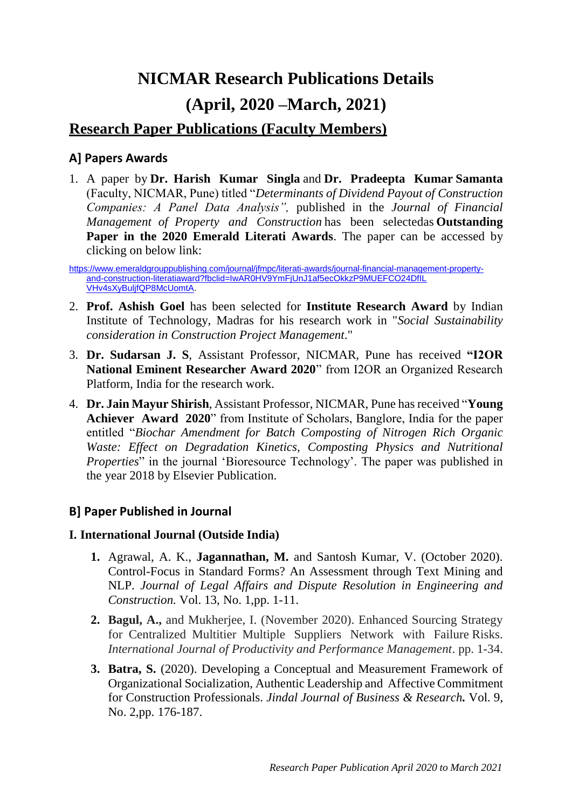# **NICMAR Research Publications Details (April, 2020 –March, 2021)**

# **Research Paper Publications (Faculty Members)**

# **A] Papers Awards**

1. A paper by **Dr. Harish Kumar Singla** and **Dr. Pradeepta Kumar Samanta**  (Faculty, NICMAR, Pune) titled "*Determinants of Dividend Payout of Construction Companies: A Panel Data Analysis",* published in the *Journal of Financial Management of Property and Construction* has been selectedas **Outstanding Paper in the 2020 Emerald Literati Awards**. The paper can be accessed by clicking on below link:

[https://www.emeraldgrouppublishing.com/journal/jfmpc/literati-awards/journal-financial-management-property](https://www.emeraldgrouppublishing.com/journal/jfmpc/literati-awards/journal-financial-management-property-and-construction-literatiaward?fbclid=IwAR0HV9YmFjUnJ1af5ecOkkzP9MUEFCO24DfIL%20VHv4sXyBuljfQP8McUomtA)[and-construction-literatiaward?fbclid=IwAR0HV9YmFjUnJ1af5ecOkkzP9MUEFCO24DfIL](https://www.emeraldgrouppublishing.com/journal/jfmpc/literati-awards/journal-financial-management-property-and-construction-literatiaward?fbclid=IwAR0HV9YmFjUnJ1af5ecOkkzP9MUEFCO24DfIL%20VHv4sXyBuljfQP8McUomtA) [VHv4sXyBuljfQP8McUomtA.](https://www.emeraldgrouppublishing.com/journal/jfmpc/literati-awards/journal-financial-management-property-and-construction-literatiaward?fbclid=IwAR0HV9YmFjUnJ1af5ecOkkzP9MUEFCO24DfIL%20VHv4sXyBuljfQP8McUomtA)

- 2. **Prof. Ashish Goel** has been selected for **Institute Research Award** by Indian Institute of Technology, Madras for his research work in "*Social Sustainability consideration in Construction Project Management*."
- 3. **Dr. Sudarsan J. S**, Assistant Professor, NICMAR, Pune has received **"I2OR National Eminent Researcher Award 2020**" from I2OR an Organized Research Platform, India for the research work.
- 4. **Dr. Jain Mayur Shirish**, Assistant Professor, NICMAR, Pune has received "**Young Achiever Award 2020**" from Institute of Scholars, Banglore, India for the paper entitled "*Biochar Amendment for Batch Composting of Nitrogen Rich Organic Waste: Effect on Degradation Kinetics, Composting Physics and Nutritional Properties*" in the journal 'Bioresource Technology'. The paper was published in the year 2018 by Elsevier Publication.

# **B] Paper Published in Journal**

## **I. International Journal (Outside India)**

- **1.** Agrawal, A. K., **Jagannathan, M.** and Santosh Kumar, V. (October 2020). Control-Focus in Standard Forms? An Assessment through Text Mining and NLP. *Journal of Legal Affairs and Dispute Resolution in Engineering and Construction.* Vol. 13, No. 1,pp. 1-11.
- **2. Bagul, A.,** and Mukherjee, I. (November 2020). Enhanced Sourcing Strategy for Centralized Multitier Multiple Suppliers Network with Failure Risks. *International Journal of Productivity and Performance Management*. pp. 1-34.
- **3. Batra, S.** (2020). Developing a Conceptual and Measurement Framework of Organizational Socialization, Authentic Leadership and Affective Commitment for Construction Professionals. *Jindal Journal of Business & Research.* Vol. 9, No. 2,pp. 176-187.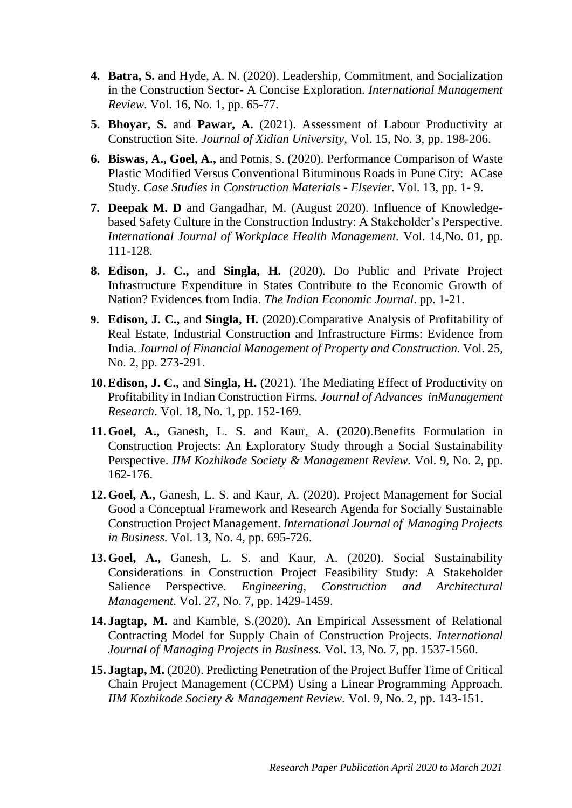- **4. Batra, S.** and Hyde, A. N. (2020). Leadership, Commitment, and Socialization in the Construction Sector- A Concise Exploration. *International Management Review*. Vol. 16, No. 1, pp. 65-77.
- **5. Bhoyar, S.** and **Pawar, A.** (2021). Assessment of Labour Productivity at Construction Site. *Journal of Xidian University,* Vol. 15, No. 3, pp. 198-206.
- **6. Biswas, A., Goel, A.,** and Potnis, S. (2020). Performance Comparison of Waste Plastic Modified Versus Conventional Bituminous Roads in Pune City: ACase Study. *Case Studies in Construction Materials - Elsevier.* Vol. 13, pp. 1- 9.
- **7. Deepak M. D** and Gangadhar, M. (August 2020). Influence of Knowledgebased Safety Culture in the Construction Industry: A Stakeholder's Perspective. *International Journal of Workplace Health Management.* Vol. 14,No. 01, pp. 111-128.
- **8. Edison, J. C.,** and **Singla, H.** (2020). Do Public and Private Project Infrastructure Expenditure in States Contribute to the Economic Growth of Nation? Evidences from India. *The Indian Economic Journal*. pp. 1-21.
- **9. Edison, J. C.,** and **Singla, H.** (2020).Comparative Analysis of Profitability of Real Estate, Industrial Construction and Infrastructure Firms: Evidence from India. *Journal of Financial Management of Property and Construction.* Vol. 25, No. 2, pp. 273-291.
- **10.Edison, J. C.,** and **Singla, H.** (2021). The Mediating Effect of Productivity on Profitability in Indian Construction Firms. *Journal of Advances inManagement Research*. Vol. 18, No. 1, pp. 152-169.
- **11. Goel, A.,** Ganesh, L. S. and Kaur, A. (2020).Benefits Formulation in Construction Projects: An Exploratory Study through a Social Sustainability Perspective. *IIM Kozhikode Society & Management Review.* Vol. 9, No. 2, pp. 162-176.
- **12. Goel, A.,** Ganesh, L. S. and Kaur, A. (2020). Project Management for Social Good a Conceptual Framework and Research Agenda for Socially Sustainable Construction Project Management. *International Journal of Managing Projects in Business.* Vol. 13, No. 4, pp. 695-726.
- **13. Goel, A.,** Ganesh, L. S. and Kaur, A. (2020). Social Sustainability Considerations in Construction Project Feasibility Study: A Stakeholder Salience Perspective. *Engineering, Construction and Architectural Management*. Vol. 27, No. 7, pp. 1429-1459.
- **14. Jagtap, M.** and Kamble, S.(2020). An Empirical Assessment of Relational Contracting Model for Supply Chain of Construction Projects. *International Journal of Managing Projects in Business.* Vol. 13, No. 7, pp. 1537-1560.
- **15. Jagtap, M.** (2020). Predicting Penetration of the Project Buffer Time of Critical Chain Project Management (CCPM) Using a Linear Programming Approach. *IIM Kozhikode Society & Management Review.* Vol. 9, No. 2, pp. 143-151.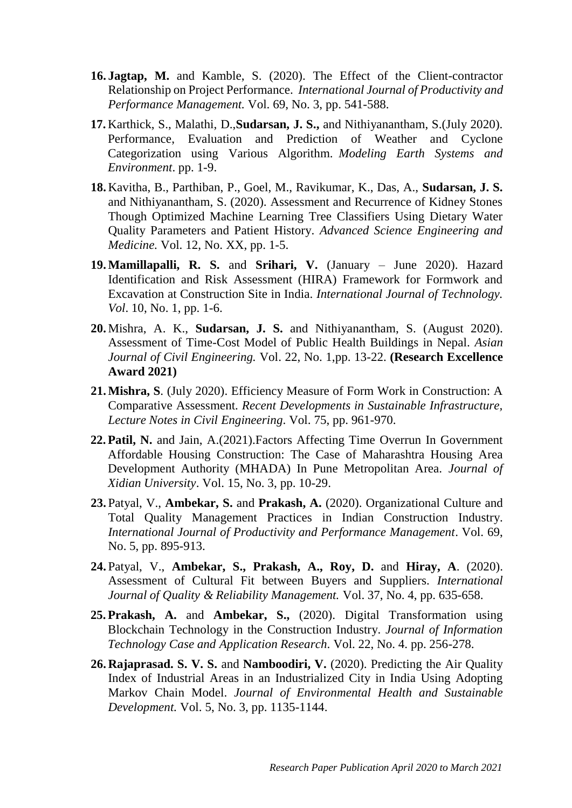- **16. Jagtap, M.** and Kamble, S. (2020). The Effect of the Client-contractor Relationship on Project Performance. *International Journal of Productivity and Performance Management.* Vol. 69, No. 3, pp. 541-588.
- **17.** Karthick, S., Malathi, D.,**Sudarsan, J. S.,** and Nithiyanantham, S.(July 2020). Performance, Evaluation and Prediction of Weather and Cyclone Categorization using Various Algorithm. *Modeling Earth Systems and Environment*. pp. 1-9.
- **18.** Kavitha, B., Parthiban, P., Goel, M., Ravikumar, K., Das, A., **Sudarsan, J. S.** and Nithiyanantham, S. (2020). Assessment and Recurrence of Kidney Stones Though Optimized Machine Learning Tree Classifiers Using Dietary Water Quality Parameters and Patient History. *Advanced Science Engineering and Medicine.* Vol. 12, No. XX, pp. 1-5.
- **19.Mamillapalli, R. S.** and **Srihari, V.** (January June 2020). Hazard Identification and Risk Assessment (HIRA) Framework for Formwork and Excavation at Construction Site in India. *International Journal of Technology. Vol*. 10, No. 1, pp. 1-6.
- **20.** Mishra, A. K., **Sudarsan, J. S.** and Nithiyanantham, S. (August 2020). Assessment of Time-Cost Model of Public Health Buildings in Nepal. *Asian Journal of Civil Engineering.* Vol. 22, No. 1,pp. 13-22. **(Research Excellence Award 2021)**
- **21.Mishra, S**. (July 2020). Efficiency Measure of Form Work in Construction: A Comparative Assessment. *Recent Developments in Sustainable Infrastructure, Lecture Notes in Civil Engineering*. Vol. 75, pp. 961-970.
- **22. Patil, N.** and Jain, A.(2021).Factors Affecting Time Overrun In Government Affordable Housing Construction: The Case of Maharashtra Housing Area Development Authority (MHADA) In Pune Metropolitan Area. *Journal of Xidian University*. Vol. 15, No. 3, pp. 10-29.
- **23.** Patyal, V., **Ambekar, S.** and **Prakash, A.** (2020). Organizational Culture and Total Quality Management Practices in Indian Construction Industry. *International Journal of Productivity and Performance Management*. Vol. 69, No. 5, pp. 895-913.
- **24.** Patyal, V., **Ambekar, S., Prakash, A., Roy, D.** and **Hiray, A**. (2020). Assessment of Cultural Fit between Buyers and Suppliers. *International Journal of Quality & Reliability Management.* Vol. 37, No. 4, pp. 635-658.
- **25. Prakash, A.** and **Ambekar, S.,** (2020). Digital Transformation using Blockchain Technology in the Construction Industry. *Journal of Information Technology Case and Application Research*. Vol. 22, No. 4. pp. 256-278.
- **26. Rajaprasad. S. V. S.** and **Namboodiri, V.** (2020). Predicting the Air Quality Index of Industrial Areas in an Industrialized City in India Using Adopting Markov Chain Model. *Journal of Environmental Health and Sustainable Development.* Vol. 5, No. 3, pp. 1135-1144.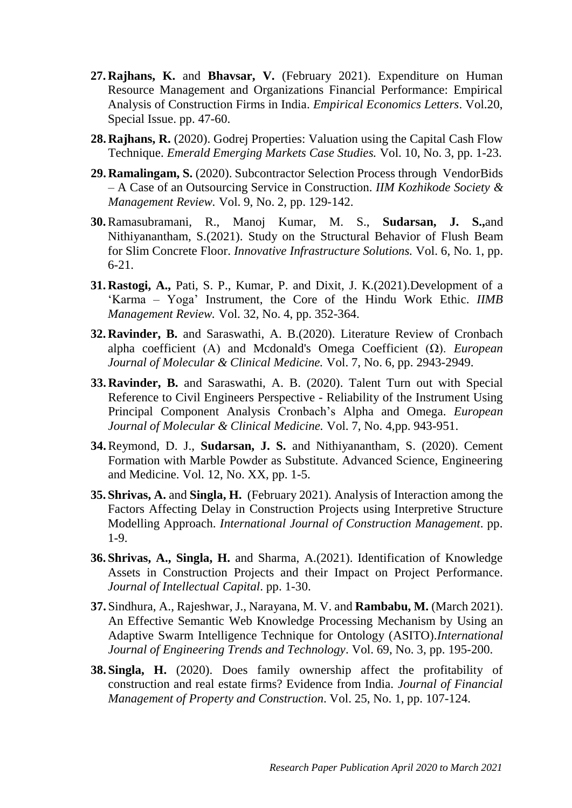- **27. Rajhans, K.** and **Bhavsar, V.** (February 2021). Expenditure on Human Resource Management and Organizations Financial Performance: Empirical Analysis of Construction Firms in India. *Empirical Economics Letters*. Vol.20, Special Issue. pp. 47-60.
- **28. Rajhans, R.** (2020). Godrej Properties: Valuation using the Capital Cash Flow Technique. *Emerald Emerging Markets Case Studies.* Vol. 10, No. 3, pp. 1-23.
- **29. Ramalingam, S.** (2020). Subcontractor Selection Process through VendorBids – A Case of an Outsourcing Service in Construction. *IIM Kozhikode Society & Management Review.* Vol. 9, No. 2, pp. 129-142.
- **30.**Ramasubramani, R., Manoj Kumar, M. S., **Sudarsan, J. S.,**and Nithiyanantham, S.(2021). Study on the Structural Behavior of Flush Beam for Slim Concrete Floor. *Innovative Infrastructure Solutions.* Vol. 6, No. 1, pp. 6-21.
- **31. Rastogi, A.,** Pati, S. P., Kumar, P. and Dixit, J. K.(2021).Development of a 'Karma – Yoga' Instrument, the Core of the Hindu Work Ethic. *IIMB Management Review.* Vol. 32, No. 4, pp. 352-364.
- **32. Ravinder, B.** and Saraswathi, A. B.(2020). Literature Review of Cronbach alpha coefficient (Α) and Mcdonald's Omega Coefficient (Ω). *European Journal of Molecular & Clinical Medicine.* Vol. 7, No. 6, pp. 2943-2949.
- **33. Ravinder, B.** and Saraswathi, A. B. (2020). Talent Turn out with Special Reference to Civil Engineers Perspective - Reliability of the Instrument Using Principal Component Analysis Cronbach's Alpha and Omega. *European Journal of Molecular & Clinical Medicine.* Vol. 7, No. 4,pp. 943-951.
- **34.**Reymond, D. J., **Sudarsan, J. S.** and Nithiyanantham, S. (2020). Cement Formation with Marble Powder as Substitute. Advanced Science, Engineering and Medicine. Vol. 12, No. XX, pp. 1-5.
- **35. Shrivas, A.** and **Singla, H.** (February 2021). Analysis of Interaction among the Factors Affecting Delay in Construction Projects using Interpretive Structure Modelling Approach. *International Journal of Construction Management*. pp. 1-9.
- **36. Shrivas, A., Singla, H.** and Sharma, A.(2021). Identification of Knowledge Assets in Construction Projects and their Impact on Project Performance. *Journal of Intellectual Capital*. pp. 1-30.
- **37.** Sindhura, A., Rajeshwar, J., Narayana, M. V. and **Rambabu, M.** (March 2021). An Effective Semantic Web Knowledge Processing Mechanism by Using an Adaptive Swarm Intelligence Technique for Ontology (ASITO).*International Journal of Engineering Trends and Technology*. Vol. 69, No. 3, pp. 195-200.
- **38. Singla, H.** (2020). Does family ownership affect the profitability of construction and real estate firms? Evidence from India. *Journal of Financial Management of Property and Construction*. Vol. 25, No. 1, pp. 107-124.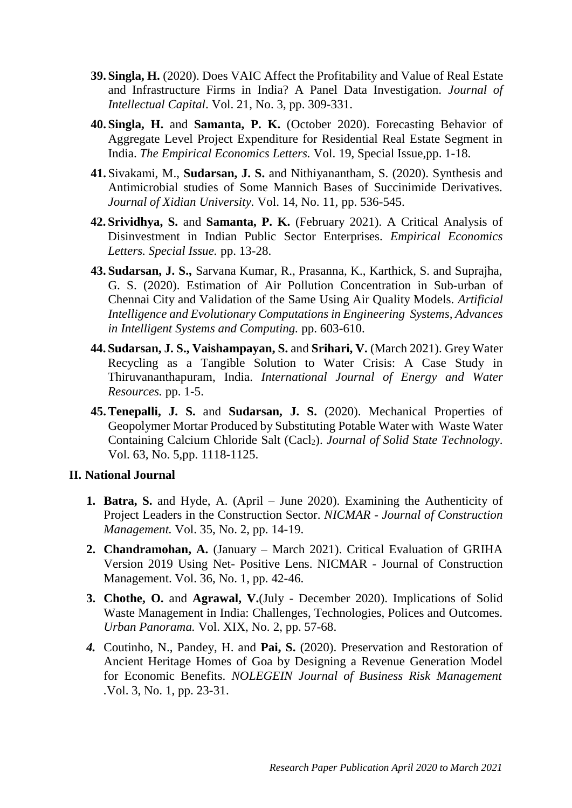- **39. Singla, H.** (2020). Does VAIC Affect the Profitability and Value of Real Estate and Infrastructure Firms in India? A Panel Data Investigation. *Journal of Intellectual Capital*. Vol. 21, No. 3, pp. 309-331.
- **40. Singla, H.** and **Samanta, P. K.** (October 2020). Forecasting Behavior of Aggregate Level Project Expenditure for Residential Real Estate Segment in India. *The Empirical Economics Letters.* Vol. 19, Special Issue,pp. 1-18.
- **41.** Sivakami, M., **Sudarsan, J. S.** and Nithiyanantham, S. (2020). Synthesis and Antimicrobial studies of Some Mannich Bases of Succinimide Derivatives. *Journal of Xidian University.* Vol. 14, No. 11, pp. 536-545.
- **42. Srividhya, S.** and **Samanta, P. K.** (February 2021). A Critical Analysis of Disinvestment in Indian Public Sector Enterprises. *Empirical Economics Letters. Special Issue.* pp. 13-28.
- **43. Sudarsan, J. S.,** Sarvana Kumar, R., Prasanna, K., Karthick, S. and Suprajha, G. S. (2020). Estimation of Air Pollution Concentration in Sub-urban of Chennai City and Validation of the Same Using Air Quality Models. *Artificial Intelligence and Evolutionary Computations in Engineering Systems, Advances in Intelligent Systems and Computing.* pp. 603-610.
- **44. Sudarsan, J. S., Vaishampayan, S.** and **Srihari, V.** (March 2021). Grey Water Recycling as a Tangible Solution to Water Crisis: A Case Study in Thiruvananthapuram, India. *International Journal of Energy and Water Resources.* pp. 1-5.
- **45.Tenepalli, J. S.** and **Sudarsan, J. S.** (2020). Mechanical Properties of Geopolymer Mortar Produced by Substituting Potable Water with Waste Water Containing Calcium Chloride Salt (Cacl2). *Journal of Solid State Technology*. Vol. 63, No. 5,pp. 1118-1125.

### **II. National Journal**

- **1. Batra, S.** and Hyde, A. (April June 2020). Examining the Authenticity of Project Leaders in the Construction Sector. *NICMAR - Journal of Construction Management.* Vol. 35, No. 2, pp. 14-19.
- **2. Chandramohan, A.** (January March 2021). Critical Evaluation of GRIHA Version 2019 Using Net- Positive Lens. NICMAR - Journal of Construction Management. Vol. 36, No. 1, pp. 42-46.
- **3. Chothe, O.** and **Agrawal, V.**(July December 2020). Implications of Solid Waste Management in India: Challenges, Technologies, Polices and Outcomes. *Urban Panorama.* Vol. XIX, No. 2, pp. 57-68.
- *4.* Coutinho, N., Pandey, H. and **Pai, S.** (2020). Preservation and Restoration of Ancient Heritage Homes of Goa by Designing a Revenue Generation Model for Economic Benefits. *NOLEGEIN Journal of Business Risk Management .*Vol. 3, No. 1, pp. 23-31.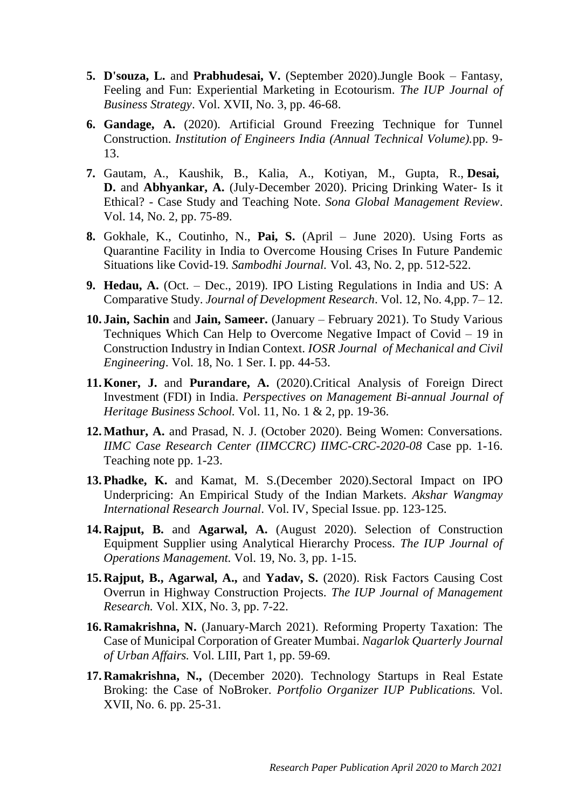- **5. D'souza, L.** and **Prabhudesai, V.** (September 2020).Jungle Book Fantasy, Feeling and Fun: Experiential Marketing in Ecotourism. *The IUP Journal of Business Strategy*. Vol. XVII, No. 3, pp. 46-68.
- **6. Gandage, A.** (2020). Artificial Ground Freezing Technique for Tunnel Construction. *Institution of Engineers India (Annual Technical Volume).*pp. 9- 13.
- **7.** Gautam, A., Kaushik, B., Kalia, A., Kotiyan, M., Gupta, R., **Desai, D.** and **Abhyankar, A.** (July-December 2020). Pricing Drinking Water- Is it Ethical? - Case Study and Teaching Note. *Sona Global Management Review*. Vol. 14, No. 2, pp. 75-89.
- **8.** Gokhale, K., Coutinho, N., **Pai, S.** (April June 2020). Using Forts as Quarantine Facility in India to Overcome Housing Crises In Future Pandemic Situations like Covid-19*. Sambodhi Journal.* Vol. 43, No. 2, pp. 512-522.
- **9. Hedau, A.** (Oct. Dec., 2019). IPO Listing Regulations in India and US: A Comparative Study. *Journal of Development Research*. Vol. 12, No. 4,pp. 7– 12.
- **10. Jain, Sachin** and **Jain, Sameer.** (January February 2021). To Study Various Techniques Which Can Help to Overcome Negative Impact of Covid – 19 in Construction Industry in Indian Context. *IOSR Journal of Mechanical and Civil Engineering*. Vol. 18, No. 1 Ser. I. pp. 44-53.
- **11. Koner, J.** and **Purandare, A.** (2020).Critical Analysis of Foreign Direct Investment (FDI) in India. *Perspectives on Management Bi-annual Journal of Heritage Business School.* Vol. 11, No. 1 & 2, pp. 19-36.
- **12.Mathur, A.** and Prasad, N. J. (October 2020). Being Women: Conversations. *IIMC Case Research Center (IIMCCRC) IIMC-CRC-2020-08* Case pp. 1-16. Teaching note pp. 1-23.
- **13. Phadke, K.** and Kamat, M. S.(December 2020).Sectoral Impact on IPO Underpricing: An Empirical Study of the Indian Markets. *Akshar Wangmay International Research Journal*. Vol. IV, Special Issue. pp. 123-125.
- **14. Rajput, B.** and **Agarwal, A.** (August 2020). Selection of Construction Equipment Supplier using Analytical Hierarchy Process. *The IUP Journal of Operations Management.* Vol. 19, No. 3, pp. 1-15.
- **15. Rajput, B., Agarwal, A.,** and **Yadav, S.** (2020). Risk Factors Causing Cost Overrun in Highway Construction Projects. *The IUP Journal of Management Research.* Vol. XIX, No. 3, pp. 7-22.
- **16. Ramakrishna, N.** (January-March 2021). Reforming Property Taxation: The Case of Municipal Corporation of Greater Mumbai. *Nagarlok Quarterly Journal of Urban Affairs.* Vol. LIII, Part 1, pp. 59-69.
- **17. Ramakrishna, N.,** (December 2020). Technology Startups in Real Estate Broking: the Case of NoBroker. *Portfolio Organizer IUP Publications.* Vol. XVII, No. 6. pp. 25-31.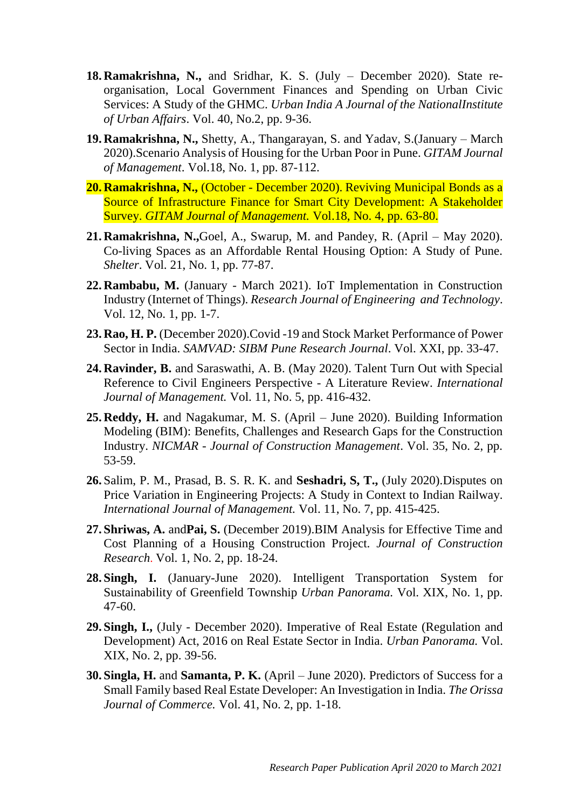- **18. Ramakrishna, N.,** and Sridhar, K. S. (July December 2020). State reorganisation, Local Government Finances and Spending on Urban Civic Services: A Study of the GHMC. *Urban India A Journal of the NationalInstitute of Urban Affairs*. Vol. 40, No.2, pp. 9-36.
- **19. Ramakrishna, N.,** Shetty, A., Thangarayan, S. and Yadav, S.(January March 2020).Scenario Analysis of Housing for the Urban Poor in Pune. *GITAM Journal of Management*. Vol.18, No. 1, pp. 87-112.
- **20. Ramakrishna, N.,** (October December 2020). Reviving Municipal Bonds as a Source of Infrastructure Finance for Smart City Development: A Stakeholder Survey. *GITAM Journal of Management.* Vol.18, No. 4, pp. 63-80.
- **21. Ramakrishna, N.,**Goel, A., Swarup, M. and Pandey, R. (April May 2020). Co-living Spaces as an Affordable Rental Housing Option: A Study of Pune. *Shelter*. Vol. 21, No. 1, pp. 77-87.
- **22. Rambabu, M.** (January March 2021). IoT Implementation in Construction Industry (Internet of Things). *Research Journal of Engineering and Technology*. Vol. 12, No. 1, pp. 1-7.
- **23. Rao, H. P.** (December 2020).Covid -19 and Stock Market Performance of Power Sector in India. *SAMVAD: SIBM Pune Research Journal*. Vol. XXI, pp. 33-47.
- **24. Ravinder, B.** and Saraswathi, A. B. (May 2020). Talent Turn Out with Special Reference to Civil Engineers Perspective - A Literature Review. *International Journal of Management.* Vol. 11, No. 5, pp. 416-432.
- **25. Reddy, H.** and Nagakumar, M. S. (April June 2020). Building Information Modeling (BIM): Benefits, Challenges and Research Gaps for the Construction Industry. *NICMAR - Journal of Construction Management*. Vol. 35, No. 2, pp. 53-59.
- **26.** Salim, P. M., Prasad, B. S. R. K. and **Seshadri, S, T.,** (July 2020).Disputes on Price Variation in Engineering Projects: A Study in Context to Indian Railway. *International Journal of Management.* Vol. 11, No. 7, pp. 415-425.
- **27. Shriwas, A.** and**Pai, S.** (December 2019).BIM Analysis for Effective Time and Cost Planning of a Housing Construction Project. *Journal of Construction Research*. Vol. 1, No. 2, pp. 18-24.
- **28. Singh, I.** (January-June 2020). Intelligent Transportation System for Sustainability of Greenfield Township *Urban Panorama.* Vol. XIX, No. 1, pp. 47-60.
- **29. Singh, I.,** (July December 2020). Imperative of Real Estate (Regulation and Development) Act, 2016 on Real Estate Sector in India. *Urban Panorama.* Vol. XIX, No. 2, pp. 39-56.
- **30. Singla, H.** and **Samanta, P. K.** (April June 2020). Predictors of Success for a Small Family based Real Estate Developer: An Investigation in India. *The Orissa Journal of Commerce.* Vol. 41, No. 2, pp. 1-18.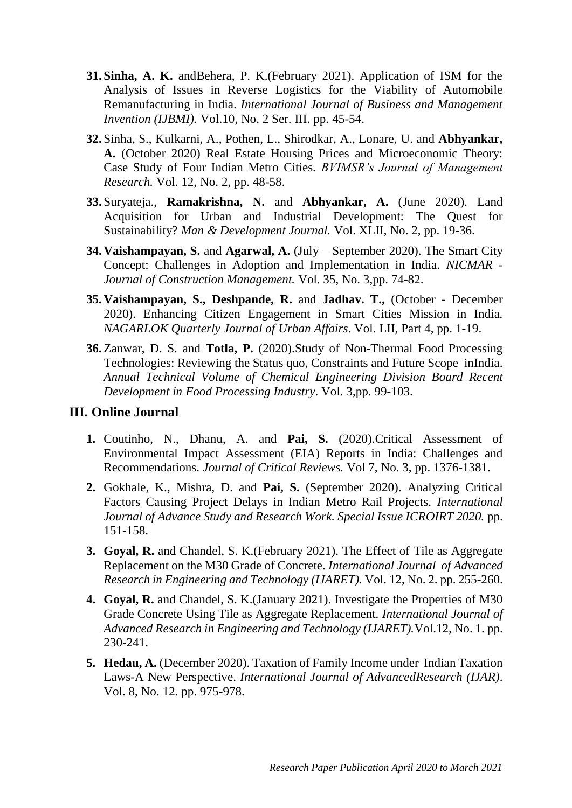- **31. Sinha, A. K.** andBehera, P. K.(February 2021). Application of ISM for the Analysis of Issues in Reverse Logistics for the Viability of Automobile Remanufacturing in India. *International Journal of Business and Management Invention (IJBMI).* Vol.10, No. 2 Ser. III. pp. 45-54.
- **32.** Sinha, S., Kulkarni, A., Pothen, L., Shirodkar, A., Lonare, U. and **Abhyankar, A.** (October 2020) Real Estate Housing Prices and Microeconomic Theory: Case Study of Four Indian Metro Cities. *BVIMSR's Journal of Management Research.* Vol. 12, No. 2, pp. 48-58.
- **33.** Suryateja., **Ramakrishna, N.** and **Abhyankar, A.** (June 2020). Land Acquisition for Urban and Industrial Development: The Quest for Sustainability? *Man & Development Journal.* Vol. XLII, No. 2, pp. 19-36.
- **34. Vaishampayan, S.** and **Agarwal, A.** (July September 2020). The Smart City Concept: Challenges in Adoption and Implementation in India. *NICMAR - Journal of Construction Management.* Vol. 35, No. 3,pp. 74-82.
- **35. Vaishampayan, S., Deshpande, R.** and **Jadhav. T.,** (October December 2020). Enhancing Citizen Engagement in Smart Cities Mission in India*. NAGARLOK Quarterly Journal of Urban Affairs*. Vol. LII, Part 4, pp. 1-19.
- **36.** Zanwar, D. S. and **Totla, P.** (2020).Study of Non-Thermal Food Processing Technologies: Reviewing the Status quo, Constraints and Future Scope inIndia. *Annual Technical Volume of Chemical Engineering Division Board Recent Development in Food Processing Industry*. Vol. 3,pp. 99-103.

## **III. Online Journal**

- **1.** Coutinho, N., Dhanu, A. and **Pai, S.** (2020).Critical Assessment of Environmental Impact Assessment (EIA) Reports in India: Challenges and Recommendations. *Journal of Critical Reviews.* Vol 7, No. 3, pp. 1376-1381.
- **2.** Gokhale, K., Mishra, D. and **Pai, S.** (September 2020). Analyzing Critical Factors Causing Project Delays in Indian Metro Rail Projects. *International Journal of Advance Study and Research Work. Special Issue ICROIRT 2020.* pp. 151-158.
- **3. Goyal, R.** and Chandel, S. K.(February 2021). The Effect of Tile as Aggregate Replacement on the M30 Grade of Concrete. *International Journal of Advanced Research in Engineering and Technology (IJARET).* Vol. 12, No. 2. pp. 255-260.
- **4. Goyal, R.** and Chandel, S. K.(January 2021). Investigate the Properties of M30 Grade Concrete Using Tile as Aggregate Replacement. *International Journal of Advanced Research in Engineering and Technology (IJARET).*Vol.12, No. 1. pp. 230-241.
- **5. Hedau, A.** (December 2020). Taxation of Family Income under Indian Taxation Laws-A New Perspective. *International Journal of AdvancedResearch (IJAR)*. Vol. 8, No. 12. pp. 975-978.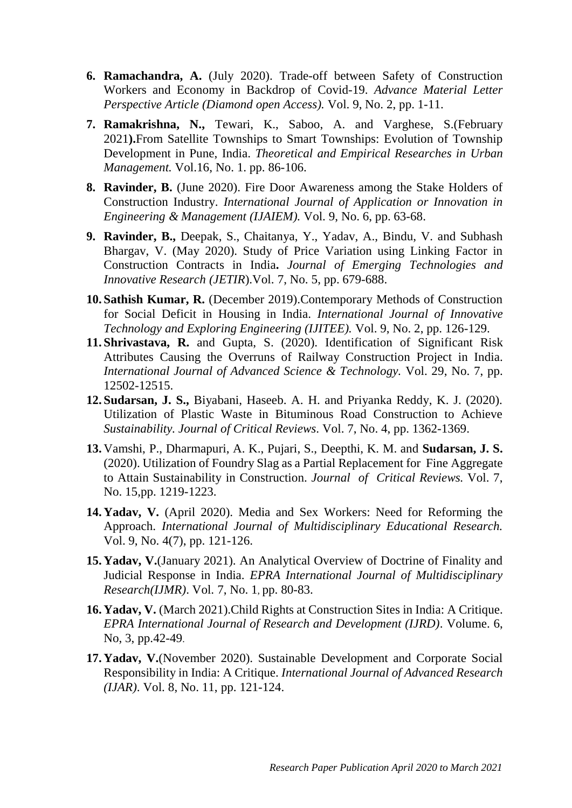- **6. Ramachandra, A.** (July 2020). Trade-off between Safety of Construction Workers and Economy in Backdrop of Covid-19. *Advance Material Letter Perspective Article (Diamond open Access).* Vol. 9, No. 2, pp. 1-11.
- **7. Ramakrishna, N.,** Tewari, K., Saboo, A. and Varghese, S.(February 2021**).**From Satellite Townships to Smart Townships: Evolution of Township Development in Pune, India. *Theoretical and Empirical Researches in Urban Management.* Vol.16, No. 1. pp. 86-106.
- **8. Ravinder, B.** (June 2020). Fire Door Awareness among the Stake Holders of Construction Industry. *International Journal of Application or Innovation in Engineering & Management (IJAIEM).* Vol. 9, No. 6, pp. 63-68.
- **9. Ravinder, B.,** Deepak, S., Chaitanya, Y., Yadav, A., Bindu, V. and Subhash Bhargav, V. (May 2020). Study of Price Variation using Linking Factor in Construction Contracts in India**.** *Journal of Emerging Technologies and Innovative Research (JETIR*).Vol. 7, No. 5, pp. 679-688.
- **10. Sathish Kumar, R.** (December 2019).Contemporary Methods of Construction for Social Deficit in Housing in India. *International Journal of Innovative Technology and Exploring Engineering (IJITEE).* Vol. 9, No. 2, pp. 126-129.
- **11. Shrivastava, R.** and Gupta, S. (2020). Identification of Significant Risk Attributes Causing the Overruns of Railway Construction Project in India. *International Journal of Advanced Science & Technology.* Vol. 29, No. 7, pp. 12502-12515.
- **12. Sudarsan, J. S.,** Biyabani, Haseeb. A. H. and Priyanka Reddy, K. J. (2020). Utilization of Plastic Waste in Bituminous Road Construction to Achieve *Sustainability. Journal of Critical Reviews*. Vol. 7, No. 4, pp. 1362-1369.
- **13.** Vamshi, P., Dharmapuri, A. K., Pujari, S., Deepthi, K. M. and **Sudarsan, J. S.** (2020). Utilization of Foundry Slag as a Partial Replacement for Fine Aggregate to Attain Sustainability in Construction. *Journal of Critical Reviews.* Vol. 7, No. 15,pp. 1219-1223.
- **14. Yadav, V.** (April 2020). Media and Sex Workers: Need for Reforming the Approach. *International Journal of Multidisciplinary Educational Research.* Vol. 9, No. 4(7), pp. 121-126.
- **15. Yadav, V.**(January 2021). An Analytical Overview of Doctrine of Finality and Judicial Response in India. *EPRA International Journal of Multidisciplinary Research(IJMR)*. Vol. 7, No. 1, pp. 80-83.
- **16. Yadav, V.** (March 2021).Child Rights at Construction Sites in India: A Critique. *EPRA International Journal of Research and Development (IJRD)*. Volume. 6, No, 3, pp.42-49.
- **17. Yadav, V.**(November 2020). Sustainable Development and Corporate Social Responsibility in India: A Critique. *International Journal of Advanced Research (IJAR)*. Vol. 8, No. 11, pp. 121-124.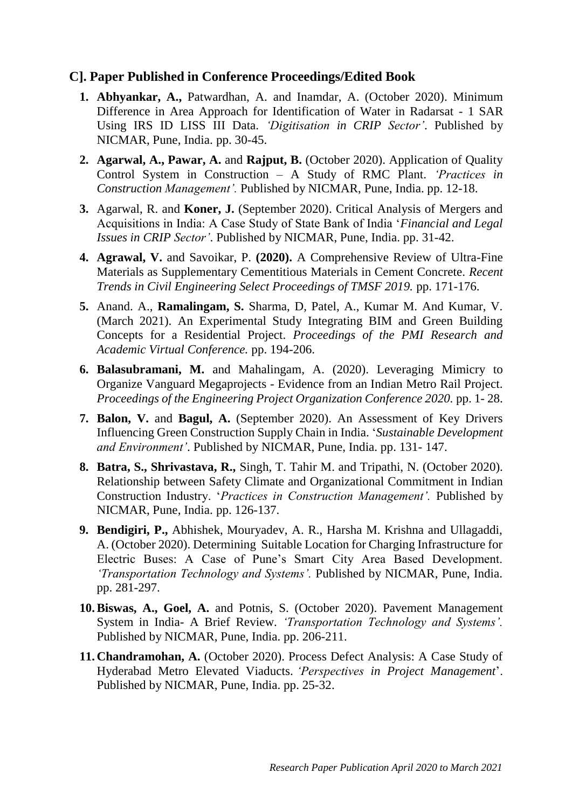## **C]. Paper Published in Conference Proceedings/Edited Book**

- **1. Abhyankar, A.,** Patwardhan, A. and Inamdar, A. (October 2020). Minimum Difference in Area Approach for Identification of Water in Radarsat - 1 SAR Using IRS ID LISS III Data. *'Digitisation in CRIP Sector'*. Published by NICMAR, Pune, India. pp. 30-45.
- **2. Agarwal, A., Pawar, A.** and **Rajput, B.** (October 2020). Application of Quality Control System in Construction – A Study of RMC Plant. *'Practices in Construction Management'.* Published by NICMAR, Pune, India. pp. 12-18.
- **3.** Agarwal, R. and **Koner, J.** (September 2020). Critical Analysis of Mergers and Acquisitions in India: A Case Study of State Bank of India '*Financial and Legal Issues in CRIP Sector'*. Published by NICMAR, Pune, India. pp. 31-42.
- **4. Agrawal, V.** and Savoikar, P. **(2020).** A Comprehensive Review of Ultra-Fine Materials as Supplementary Cementitious Materials in Cement Concrete. *Recent Trends in Civil Engineering Select Proceedings of TMSF 2019.* pp. 171-176.
- **5.** Anand. A., **Ramalingam, S.** Sharma, D, Patel, A., Kumar M. And Kumar, V. (March 2021). An Experimental Study Integrating BIM and Green Building Concepts for a Residential Project. *Proceedings of the PMI Research and Academic Virtual Conference.* pp. 194-206.
- **6. Balasubramani, M.** and Mahalingam, A. (2020). Leveraging Mimicry to Organize Vanguard Megaprojects - Evidence from an Indian Metro Rail Project. *Proceedings of the Engineering Project Organization Conference 2020.* pp. 1- 28.
- **7. Balon, V.** and **Bagul, A.** (September 2020). An Assessment of Key Drivers Influencing Green Construction Supply Chain in India. '*Sustainable Development and Environment'*. Published by NICMAR, Pune, India. pp. 131- 147.
- **8. Batra, S., Shrivastava, R.,** Singh, T. Tahir M. and Tripathi, N. (October 2020). Relationship between Safety Climate and Organizational Commitment in Indian Construction Industry. '*Practices in Construction Management'.* Published by NICMAR, Pune, India. pp. 126-137.
- **9. Bendigiri, P.,** Abhishek, Mouryadev, A. R., Harsha M. Krishna and Ullagaddi, A. (October 2020). Determining Suitable Location for Charging Infrastructure for Electric Buses: A Case of Pune's Smart City Area Based Development. *'Transportation Technology and Systems'.* Published by NICMAR, Pune, India. pp. 281-297.
- **10.Biswas, A., Goel, A.** and Potnis, S. (October 2020). Pavement Management System in India- A Brief Review. *'Transportation Technology and Systems'.* Published by NICMAR, Pune, India. pp. 206-211.
- **11. Chandramohan, A.** (October 2020). Process Defect Analysis: A Case Study of Hyderabad Metro Elevated Viaducts. *'Perspectives in Project Management*'. Published by NICMAR, Pune, India. pp. 25-32.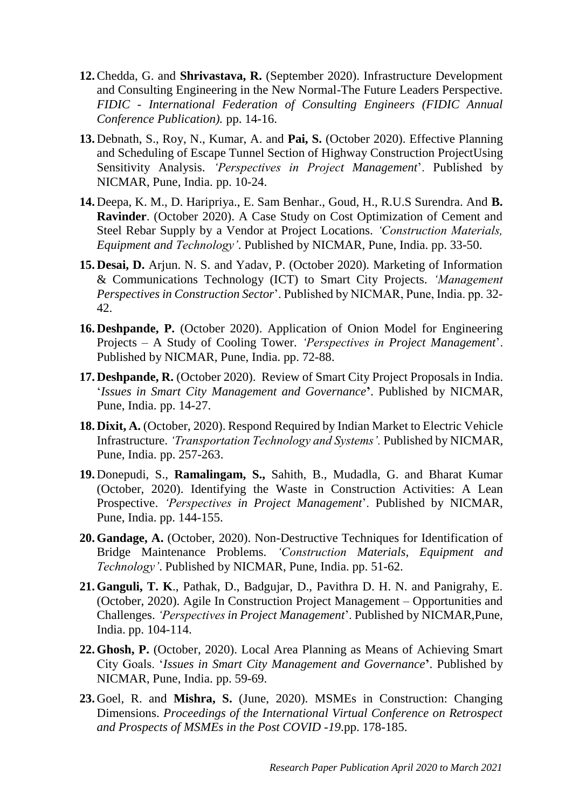- **12.**Chedda, G. and **Shrivastava, R.** (September 2020). Infrastructure Development and Consulting Engineering in the New Normal-The Future Leaders Perspective. *FIDIC - International Federation of Consulting Engineers (FIDIC Annual Conference Publication).* pp. 14-16.
- **13.** Debnath, S., Roy, N., Kumar, A. and **Pai, S.** (October 2020). Effective Planning and Scheduling of Escape Tunnel Section of Highway Construction ProjectUsing Sensitivity Analysis. *'Perspectives in Project Management*'. Published by NICMAR, Pune, India. pp. 10-24.
- **14.** Deepa, K. M., D. Haripriya., E. Sam Benhar., Goud, H., R.U.S Surendra. And **B. Ravinder**. (October 2020). A Case Study on Cost Optimization of Cement and Steel Rebar Supply by a Vendor at Project Locations. *'Construction Materials, Equipment and Technology'*. Published by NICMAR, Pune, India. pp. 33-50.
- **15. Desai, D.** Arjun. N. S. and Yadav, P. (October 2020). Marketing of Information & Communications Technology (ICT) to Smart City Projects. *'Management Perspectives in Construction Sector*'. Published by NICMAR, Pune, India. pp. 32- 42.
- **16. Deshpande, P.** (October 2020). Application of Onion Model for Engineering Projects – A Study of Cooling Tower. *'Perspectives in Project Management*'. Published by NICMAR, Pune, India. pp. 72-88.
- **17. Deshpande, R.** (October 2020). Review of Smart City Project Proposals in India. '*Issues in Smart City Management and Governance***'**. Published by NICMAR, Pune, India. pp. 14-27.
- **18. Dixit, A.** (October, 2020). Respond Required by Indian Market to Electric Vehicle Infrastructure. *'Transportation Technology and Systems'.* Published by NICMAR, Pune, India. pp. 257-263.
- **19.** Donepudi, S., **Ramalingam, S.,** Sahith, B., Mudadla, G. and Bharat Kumar (October, 2020). Identifying the Waste in Construction Activities: A Lean Prospective. *'Perspectives in Project Management*'. Published by NICMAR, Pune, India. pp. 144-155.
- **20. Gandage, A.** (October, 2020). Non-Destructive Techniques for Identification of Bridge Maintenance Problems. *'Construction Materials, Equipment and Technology'*. Published by NICMAR, Pune, India. pp. 51-62.
- **21. Ganguli, T. K**., Pathak, D., Badgujar, D., Pavithra D. H. N. and Panigrahy, E. (October, 2020). Agile In Construction Project Management – Opportunities and Challenges. *'Perspectives in Project Management*'. Published by NICMAR,Pune, India. pp. 104-114.
- **22. Ghosh, P.** (October, 2020). Local Area Planning as Means of Achieving Smart City Goals. '*Issues in Smart City Management and Governance***'**. Published by NICMAR, Pune, India. pp. 59-69.
- **23.** Goel, R. and **Mishra, S.** (June, 2020). MSMEs in Construction: Changing Dimensions. *Proceedings of the International Virtual Conference on Retrospect and Prospects of MSMEs in the Post COVID -19*.pp. 178-185.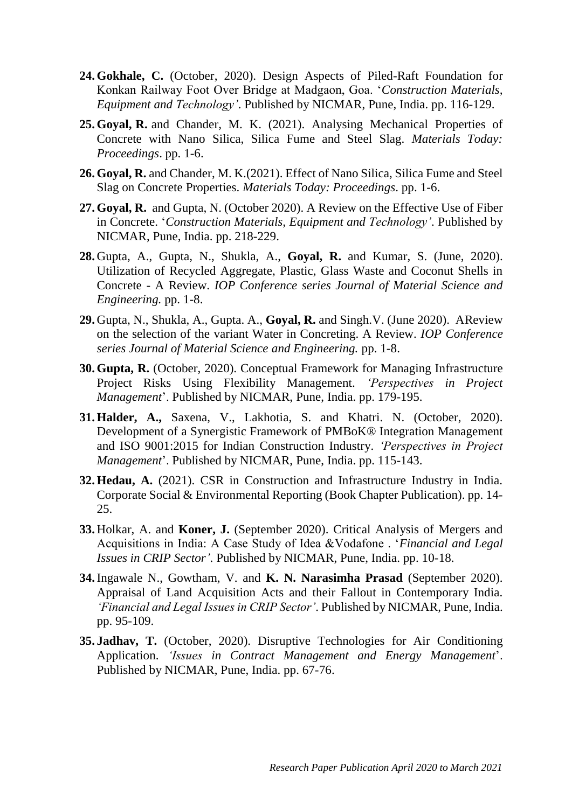- **24. Gokhale, C.** (October, 2020). Design Aspects of Piled-Raft Foundation for Konkan Railway Foot Over Bridge at Madgaon, Goa. '*Construction Materials, Equipment and Technology'*. Published by NICMAR, Pune, India. pp. 116-129.
- **25. Goyal, R.** and Chander, M. K. (2021). Analysing Mechanical Properties of Concrete with Nano Silica, Silica Fume and Steel Slag. *Materials Today: Proceedings*. pp. 1-6.
- **26. Goyal, R.** and Chander, M. K.(2021). Effect of Nano Silica, Silica Fume and Steel Slag on Concrete Properties. *Materials Today: Proceedings*. pp. 1-6.
- **27. Goyal, R.** and Gupta, N. (October 2020). A Review on the Effective Use of Fiber in Concrete. '*Construction Materials, Equipment and Technology'*. Published by NICMAR, Pune, India. pp. 218-229.
- **28.** Gupta, A., Gupta, N., Shukla, A., **Goyal, R.** and Kumar, S. (June, 2020). Utilization of Recycled Aggregate, Plastic, Glass Waste and Coconut Shells in Concrete - A Review. *IOP Conference series Journal of Material Science and Engineering.* pp. 1-8.
- **29.** Gupta, N., Shukla, A., Gupta. A., **Goyal, R.** and Singh.V. (June 2020). AReview on the selection of the variant Water in Concreting. A Review. *IOP Conference series Journal of Material Science and Engineering.* pp. 1-8.
- **30. Gupta, R.** (October, 2020). Conceptual Framework for Managing Infrastructure Project Risks Using Flexibility Management. *'Perspectives in Project Management*'. Published by NICMAR, Pune, India. pp. 179-195.
- **31. Halder, A.,** Saxena, V., Lakhotia, S. and Khatri. N. (October, 2020). Development of a Synergistic Framework of PMBoK® Integration Management and ISO 9001:2015 for Indian Construction Industry. *'Perspectives in Project Management*'. Published by NICMAR, Pune, India. pp. 115-143.
- **32. Hedau, A.** (2021). CSR in Construction and Infrastructure Industry in India. Corporate Social & Environmental Reporting (Book Chapter Publication). pp. 14- 25.
- **33.** Holkar, A. and **Koner, J.** (September 2020). Critical Analysis of Mergers and Acquisitions in India: A Case Study of Idea &Vodafone . '*Financial and Legal Issues in CRIP Sector'*. Published by NICMAR, Pune, India. pp. 10-18.
- **34.**Ingawale N., Gowtham, V. and **K. N. Narasimha Prasad** (September 2020). Appraisal of Land Acquisition Acts and their Fallout in Contemporary India. *'Financial and Legal Issues in CRIP Sector'*. Published by NICMAR, Pune, India. pp. 95-109.
- **35. Jadhav, T.** (October, 2020). Disruptive Technologies for Air Conditioning Application. *'Issues in Contract Management and Energy Management*'. Published by NICMAR, Pune, India. pp. 67-76.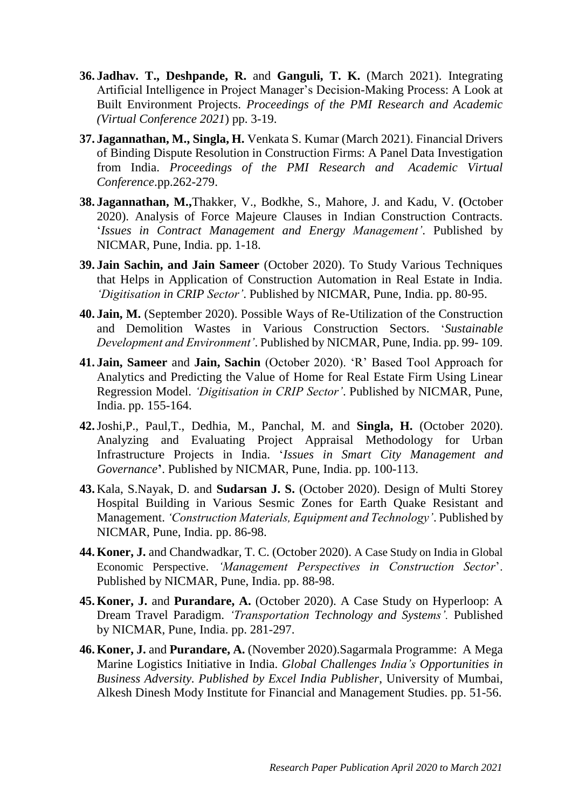- **36. Jadhav. T., Deshpande, R.** and **Ganguli, T. K.** (March 2021). Integrating Artificial Intelligence in Project Manager's Decision-Making Process: A Look at Built Environment Projects. *Proceedings of the PMI Research and Academic (Virtual Conference 2021*) pp. 3-19.
- **37. Jagannathan, M., Singla, H.** Venkata S. Kumar (March 2021). Financial Drivers of Binding Dispute Resolution in Construction Firms: A Panel Data Investigation from India. *Proceedings of the PMI Research and Academic Virtual Conference*.pp.262-279.
- **38. Jagannathan, M.,**Thakker, V., Bodkhe, S., Mahore, J. and Kadu, V. **(**October 2020). Analysis of Force Majeure Clauses in Indian Construction Contracts. '*Issues in Contract Management and Energy Management'*. Published by NICMAR, Pune, India. pp. 1-18.
- **39. Jain Sachin, and Jain Sameer** (October 2020). To Study Various Techniques that Helps in Application of Construction Automation in Real Estate in India. *'Digitisation in CRIP Sector'*. Published by NICMAR, Pune, India. pp. 80-95.
- **40. Jain, M.** (September 2020). Possible Ways of Re-Utilization of the Construction and Demolition Wastes in Various Construction Sectors. '*Sustainable Development and Environment'*. Published by NICMAR, Pune, India. pp. 99- 109.
- **41. Jain, Sameer** and **Jain, Sachin** (October 2020). 'R' Based Tool Approach for Analytics and Predicting the Value of Home for Real Estate Firm Using Linear Regression Model. *'Digitisation in CRIP Sector'*. Published by NICMAR, Pune, India. pp. 155-164.
- **42.**Joshi,P., Paul,T., Dedhia, M., Panchal, M. and **Singla, H.** (October 2020). Analyzing and Evaluating Project Appraisal Methodology for Urban Infrastructure Projects in India. '*Issues in Smart City Management and Governance***'**. Published by NICMAR, Pune, India. pp. 100-113.
- **43.** Kala, S.Nayak, D. and **Sudarsan J. S.** (October 2020). Design of Multi Storey Hospital Building in Various Sesmic Zones for Earth Quake Resistant and Management. *'Construction Materials, Equipment and Technology'*. Published by NICMAR, Pune, India. pp. 86-98.
- **44. Koner, J.** and Chandwadkar, T. C. (October 2020). A Case Study on India in Global Economic Perspective. *'Management Perspectives in Construction Sector*'. Published by NICMAR, Pune, India. pp. 88-98.
- **45. Koner, J.** and **Purandare, A.** (October 2020). A Case Study on Hyperloop: A Dream Travel Paradigm. *'Transportation Technology and Systems'.* Published by NICMAR, Pune, India. pp. 281-297.
- **46. Koner, J.** and **Purandare, A.** (November 2020).Sagarmala Programme: A Mega Marine Logistics Initiative in India. *Global Challenges India's Opportunities in Business Adversity. Published by Excel India Publisher*, University of Mumbai, Alkesh Dinesh Mody Institute for Financial and Management Studies. pp. 51-56.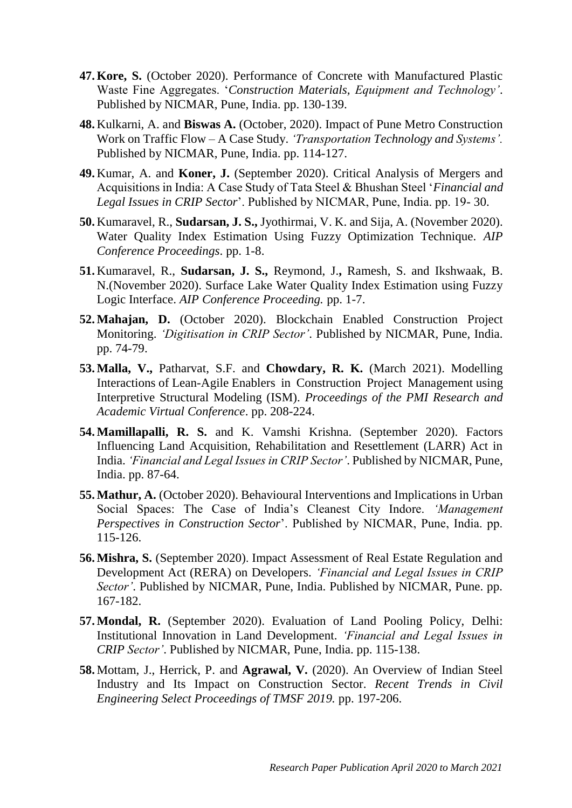- **47. Kore, S.** (October 2020). Performance of Concrete with Manufactured Plastic Waste Fine Aggregates. '*Construction Materials, Equipment and Technology'*. Published by NICMAR, Pune, India. pp. 130-139.
- **48.** Kulkarni, A. and **Biswas A.** (October, 2020). Impact of Pune Metro Construction Work on Traffic Flow – A Case Study. *'Transportation Technology and Systems'.* Published by NICMAR, Pune, India. pp. 114-127.
- **49.** Kumar, A. and **Koner, J.** (September 2020). Critical Analysis of Mergers and Acquisitions in India: A Case Study of Tata Steel & Bhushan Steel '*Financial and Legal Issues in CRIP Sector*'. Published by NICMAR, Pune, India. pp. 19- 30.
- **50.** Kumaravel, R., **Sudarsan, J. S.,** Jyothirmai, V. K. and Sija, A. (November 2020). Water Quality Index Estimation Using Fuzzy Optimization Technique. *AIP Conference Proceedings*. pp. 1-8.
- **51.** Kumaravel, R., **Sudarsan, J. S.,** Reymond, J.**,** Ramesh, S. and Ikshwaak, B. N.(November 2020). Surface Lake Water Quality Index Estimation using Fuzzy Logic Interface. *AIP Conference Proceeding.* pp. 1-7.
- **52.Mahajan, D.** (October 2020). Blockchain Enabled Construction Project Monitoring. *'Digitisation in CRIP Sector'*. Published by NICMAR, Pune, India. pp. 74-79.
- **53.Malla, V.,** Patharvat, S.F. and **Chowdary, R. K.** (March 2021). Modelling Interactions of Lean-Agile Enablers in Construction Project Management using Interpretive Structural Modeling (ISM). *Proceedings of the PMI Research and Academic Virtual Conference*. pp. 208-224.
- **54.Mamillapalli, R. S.** and K. Vamshi Krishna. (September 2020). Factors Influencing Land Acquisition, Rehabilitation and Resettlement (LARR) Act in India. *'Financial and Legal Issues in CRIP Sector'*. Published by NICMAR, Pune, India. pp. 87-64.
- **55.Mathur, A.** (October 2020). Behavioural Interventions and Implications in Urban Social Spaces: The Case of India's Cleanest City Indore. *'Management Perspectives in Construction Sector*'. Published by NICMAR, Pune, India. pp. 115-126.
- **56.Mishra, S.** (September 2020). Impact Assessment of Real Estate Regulation and Development Act (RERA) on Developers. *'Financial and Legal Issues in CRIP Sector'*. Published by NICMAR, Pune, India. Published by NICMAR, Pune. pp. 167-182.
- **57.Mondal, R.** (September 2020). Evaluation of Land Pooling Policy, Delhi: Institutional Innovation in Land Development. *'Financial and Legal Issues in CRIP Sector'*. Published by NICMAR, Pune, India. pp. 115-138.
- **58.** Mottam, J., Herrick, P. and **Agrawal, V.** (2020). An Overview of Indian Steel Industry and Its Impact on Construction Sector. *Recent Trends in Civil Engineering Select Proceedings of TMSF 2019.* pp. 197-206.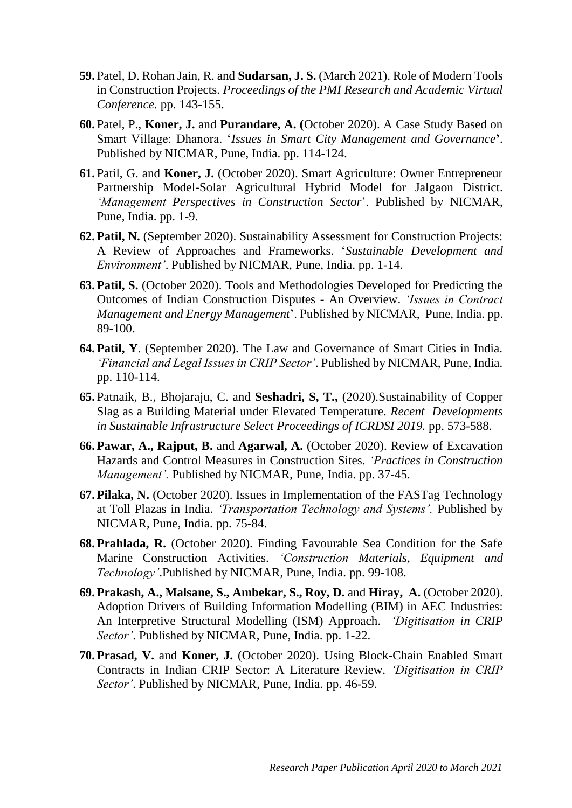- **59.** Patel, D. Rohan Jain, R. and **Sudarsan, J. S.** (March 2021). Role of Modern Tools in Construction Projects. *Proceedings of the PMI Research and Academic Virtual Conference.* pp. 143-155.
- **60.** Patel, P., **Koner, J.** and **Purandare, A. (**October 2020). A Case Study Based on Smart Village: Dhanora. '*Issues in Smart City Management and Governance***'**. Published by NICMAR, Pune, India. pp. 114-124.
- **61.** Patil, G. and **Koner, J.** (October 2020). Smart Agriculture: Owner Entrepreneur Partnership Model-Solar Agricultural Hybrid Model for Jalgaon District. *'Management Perspectives in Construction Sector*'. Published by NICMAR, Pune, India. pp. 1-9.
- **62. Patil, N.** (September 2020). Sustainability Assessment for Construction Projects: A Review of Approaches and Frameworks. '*Sustainable Development and Environment'*. Published by NICMAR, Pune, India. pp. 1-14.
- **63. Patil, S.** (October 2020). Tools and Methodologies Developed for Predicting the Outcomes of Indian Construction Disputes - An Overview. *'Issues in Contract Management and Energy Management*'. Published by NICMAR, Pune, India. pp. 89-100.
- **64. Patil, Y**. (September 2020). The Law and Governance of Smart Cities in India. *'Financial and Legal Issues in CRIP Sector'*. Published by NICMAR, Pune, India. pp. 110-114.
- **65.** Patnaik, B., Bhojaraju, C. and **Seshadri, S, T.,** (2020).Sustainability of Copper Slag as a Building Material under Elevated Temperature. *Recent Developments in Sustainable Infrastructure Select Proceedings of ICRDSI 2019.* pp. 573-588.
- **66. Pawar, A., Rajput, B.** and **Agarwal, A.** (October 2020). Review of Excavation Hazards and Control Measures in Construction Sites. *'Practices in Construction Management'.* Published by NICMAR, Pune, India. pp. 37-45.
- **67. Pilaka, N.** (October 2020). Issues in Implementation of the FASTag Technology at Toll Plazas in India. *'Transportation Technology and Systems'.* Published by NICMAR, Pune, India. pp. 75-84.
- **68. Prahlada, R.** (October 2020). Finding Favourable Sea Condition for the Safe Marine Construction Activities. *'Construction Materials, Equipment and Technology'*.Published by NICMAR, Pune, India. pp. 99-108.
- **69. Prakash, A., Malsane, S., Ambekar, S., Roy, D.** and **Hiray, A.** (October 2020). Adoption Drivers of Building Information Modelling (BIM) in AEC Industries: An Interpretive Structural Modelling (ISM) Approach. *'Digitisation in CRIP Sector'*. Published by NICMAR, Pune, India. pp. 1-22.
- **70. Prasad, V.** and **Koner, J.** (October 2020). Using Block-Chain Enabled Smart Contracts in Indian CRIP Sector: A Literature Review. *'Digitisation in CRIP Sector'*. Published by NICMAR, Pune, India. pp. 46-59.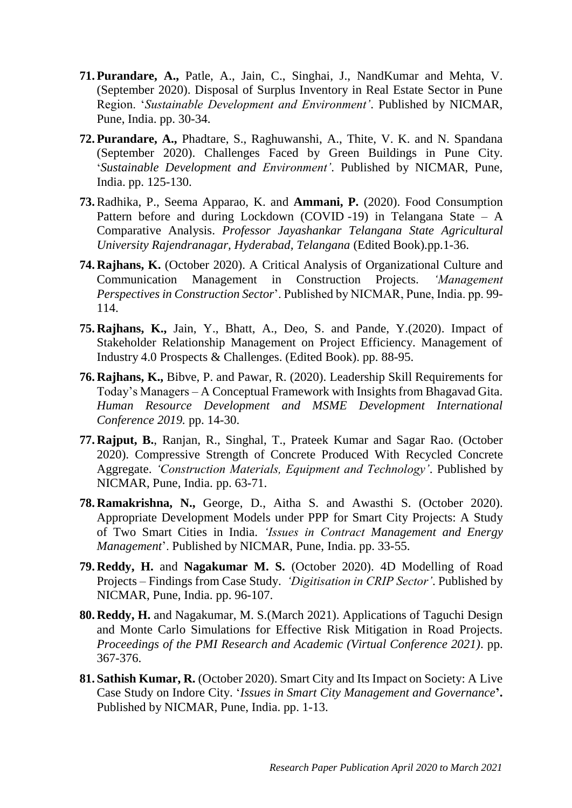- **71. Purandare, A.,** Patle, A., Jain, C., Singhai, J., NandKumar and Mehta, V. (September 2020). Disposal of Surplus Inventory in Real Estate Sector in Pune Region. '*Sustainable Development and Environment'*. Published by NICMAR, Pune, India. pp. 30-34.
- **72. Purandare, A.,** Phadtare, S., Raghuwanshi, A., Thite, V. K. and N. Spandana (September 2020). Challenges Faced by Green Buildings in Pune City. '*Sustainable Development and Environment'*. Published by NICMAR, Pune, India. pp. 125-130.
- **73.**Radhika, P., Seema Apparao, K. and **Ammani, P.** (2020). Food Consumption Pattern before and during Lockdown (COVID-19) in Telangana State – A Comparative Analysis. *Professor Jayashankar Telangana State Agricultural University Rajendranagar, Hyderabad, Telangana* (Edited Book).pp.1-36.
- **74. Rajhans, K.** (October 2020). A Critical Analysis of Organizational Culture and Communication Management in Construction Projects. *'Management Perspectives in Construction Sector*'. Published by NICMAR, Pune, India. pp. 99- 114.
- **75. Rajhans, K.,** Jain, Y., Bhatt, A., Deo, S. and Pande, Y.(2020). Impact of Stakeholder Relationship Management on Project Efficiency. Management of Industry 4.0 Prospects & Challenges. (Edited Book). pp. 88-95.
- **76. Rajhans, K.,** Bibve, P. and Pawar, R. (2020). Leadership Skill Requirements for Today's Managers – A Conceptual Framework with Insights from Bhagavad Gita. *Human Resource Development and MSME Development International Conference 2019.* pp. 14-30.
- **77. Rajput, B.**, Ranjan, R., Singhal, T., Prateek Kumar and Sagar Rao. (October 2020). Compressive Strength of Concrete Produced With Recycled Concrete Aggregate. *'Construction Materials, Equipment and Technology'*. Published by NICMAR, Pune, India. pp. 63-71.
- **78. Ramakrishna, N.,** George, D., Aitha S. and Awasthi S. (October 2020). Appropriate Development Models under PPP for Smart City Projects: A Study of Two Smart Cities in India. *'Issues in Contract Management and Energy Management*'. Published by NICMAR, Pune, India. pp. 33-55.
- **79. Reddy, H.** and **Nagakumar M. S.** (October 2020). 4D Modelling of Road Projects – Findings from Case Study. *'Digitisation in CRIP Sector'*. Published by NICMAR, Pune, India. pp. 96-107.
- **80. Reddy, H.** and Nagakumar, M. S.(March 2021). Applications of Taguchi Design and Monte Carlo Simulations for Effective Risk Mitigation in Road Projects. *Proceedings of the PMI Research and Academic (Virtual Conference 2021)*. pp. 367-376.
- **81. Sathish Kumar, R.** (October 2020). Smart City and Its Impact on Society: A Live Case Study on Indore City. '*Issues in Smart City Management and Governance***'.** Published by NICMAR, Pune, India. pp. 1-13.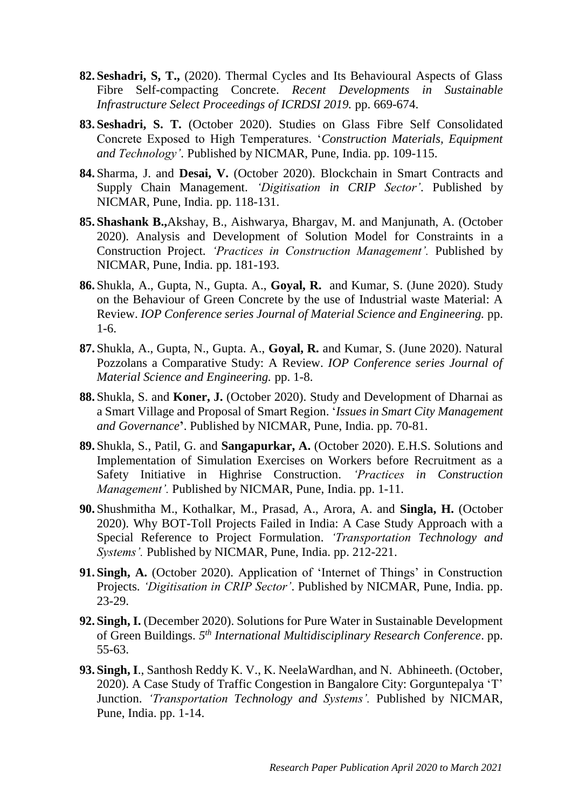- **82. Seshadri, S, T.,** (2020). Thermal Cycles and Its Behavioural Aspects of Glass Fibre Self-compacting Concrete. *Recent Developments in Sustainable Infrastructure Select Proceedings of ICRDSI 2019.* pp. 669-674.
- **83. Seshadri, S. T.** (October 2020). Studies on Glass Fibre Self Consolidated Concrete Exposed to High Temperatures. '*Construction Materials, Equipment and Technology'*. Published by NICMAR, Pune, India. pp. 109-115.
- **84.** Sharma, J. and **Desai, V.** (October 2020). Blockchain in Smart Contracts and Supply Chain Management. *'Digitisation in CRIP Sector'*. Published by NICMAR, Pune, India. pp. 118-131.
- **85. Shashank B.,**Akshay, B., Aishwarya, Bhargav, M. and Manjunath, A. (October 2020). Analysis and Development of Solution Model for Constraints in a Construction Project. *'Practices in Construction Management'.* Published by NICMAR, Pune, India. pp. 181-193.
- **86.** Shukla, A., Gupta, N., Gupta. A., **Goyal, R.** and Kumar, S. (June 2020). Study on the Behaviour of Green Concrete by the use of Industrial waste Material: A Review. *IOP Conference series Journal of Material Science and Engineering.* pp. 1-6.
- **87.** Shukla, A., Gupta, N., Gupta. A., **Goyal, R.** and Kumar, S. (June 2020). Natural Pozzolans a Comparative Study: A Review. *IOP Conference series Journal of Material Science and Engineering.* pp. 1-8.
- **88.** Shukla, S. and **Koner, J.** (October 2020). Study and Development of Dharnai as a Smart Village and Proposal of Smart Region. '*Issues in Smart City Management and Governance***'**. Published by NICMAR, Pune, India. pp. 70-81.
- **89.** Shukla, S., Patil, G. and **Sangapurkar, A.** (October 2020). E.H.S. Solutions and Implementation of Simulation Exercises on Workers before Recruitment as a Safety Initiative in Highrise Construction. *'Practices in Construction Management'.* Published by NICMAR, Pune, India. pp. 1-11.
- **90.** Shushmitha M., Kothalkar, M., Prasad, A., Arora, A. and **Singla, H.** (October 2020). Why BOT-Toll Projects Failed in India: A Case Study Approach with a Special Reference to Project Formulation. *'Transportation Technology and Systems'.* Published by NICMAR, Pune, India. pp. 212-221.
- **91. Singh, A.** (October 2020). Application of 'Internet of Things' in Construction Projects. *'Digitisation in CRIP Sector'*. Published by NICMAR, Pune, India. pp. 23-29.
- **92. Singh, I.** (December 2020). Solutions for Pure Water in Sustainable Development of Green Buildings. *5 th International Multidisciplinary Research Conference*. pp. 55-63.
- **93. Singh, I**., Santhosh Reddy K. V., K. NeelaWardhan, and N. Abhineeth. (October, 2020). A Case Study of Traffic Congestion in Bangalore City: Gorguntepalya 'T' Junction. *'Transportation Technology and Systems'.* Published by NICMAR, Pune, India. pp. 1-14.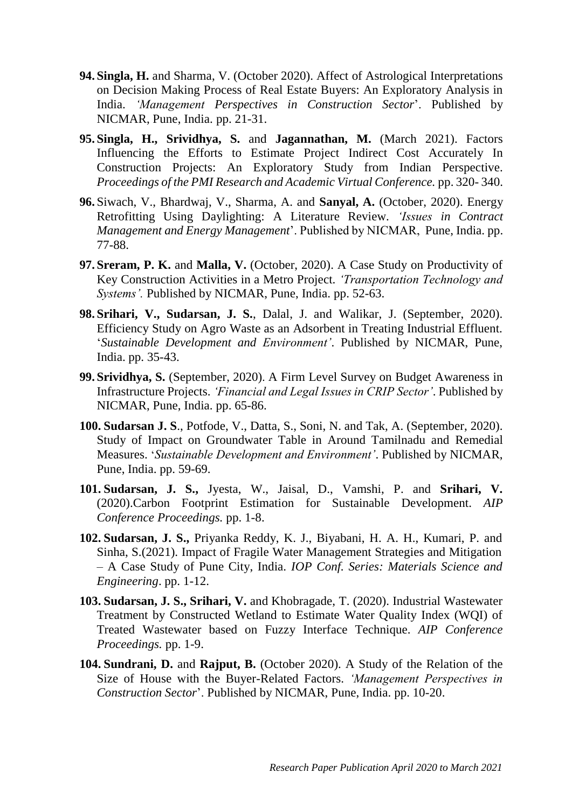- **94. Singla, H.** and Sharma, V. (October 2020). Affect of Astrological Interpretations on Decision Making Process of Real Estate Buyers: An Exploratory Analysis in India. *'Management Perspectives in Construction Sector*'. Published by NICMAR, Pune, India. pp. 21-31.
- **95. Singla, H., Srividhya, S.** and **Jagannathan, M.** (March 2021). Factors Influencing the Efforts to Estimate Project Indirect Cost Accurately In Construction Projects: An Exploratory Study from Indian Perspective. *Proceedings of the PMI Research and Academic Virtual Conference.* pp. 320- 340.
- **96.** Siwach, V., Bhardwaj, V., Sharma, A. and **Sanyal, A.** (October, 2020). Energy Retrofitting Using Daylighting: A Literature Review. *'Issues in Contract Management and Energy Management*'. Published by NICMAR, Pune, India. pp. 77-88.
- **97. Sreram, P. K.** and **Malla, V.** (October, 2020). A Case Study on Productivity of Key Construction Activities in a Metro Project. *'Transportation Technology and Systems'.* Published by NICMAR, Pune, India. pp. 52-63.
- **98. Srihari, V., Sudarsan, J. S.**, Dalal, J. and Walikar, J. (September, 2020). Efficiency Study on Agro Waste as an Adsorbent in Treating Industrial Effluent. '*Sustainable Development and Environment'*. Published by NICMAR, Pune, India. pp. 35-43.
- **99. Srividhya, S.** (September, 2020). A Firm Level Survey on Budget Awareness in Infrastructure Projects. *'Financial and Legal Issues in CRIP Sector'*. Published by NICMAR, Pune, India. pp. 65-86.
- **100. Sudarsan J. S**., Potfode, V., Datta, S., Soni, N. and Tak, A. (September, 2020). Study of Impact on Groundwater Table in Around Tamilnadu and Remedial Measures. '*Sustainable Development and Environment'*. Published by NICMAR, Pune, India. pp. 59-69.
- **101. Sudarsan, J. S.,** Jyesta, W., Jaisal, D., Vamshi, P. and **Srihari, V.** (2020).Carbon Footprint Estimation for Sustainable Development. *AIP Conference Proceedings.* pp. 1-8.
- **102. Sudarsan, J. S.,** Priyanka Reddy, K. J., Biyabani, H. A. H., Kumari, P. and Sinha, S.(2021). Impact of Fragile Water Management Strategies and Mitigation – A Case Study of Pune City, India. *IOP Conf. Series: Materials Science and Engineering*. pp. 1-12.
- **103. Sudarsan, J. S., Srihari, V.** and Khobragade, T. (2020). Industrial Wastewater Treatment by Constructed Wetland to Estimate Water Quality Index (WQI) of Treated Wastewater based on Fuzzy Interface Technique. *AIP Conference Proceedings.* pp. 1-9.
- **104. Sundrani, D.** and **Rajput, B.** (October 2020). A Study of the Relation of the Size of House with the Buyer-Related Factors. *'Management Perspectives in Construction Sector*'. Published by NICMAR, Pune, India. pp. 10-20.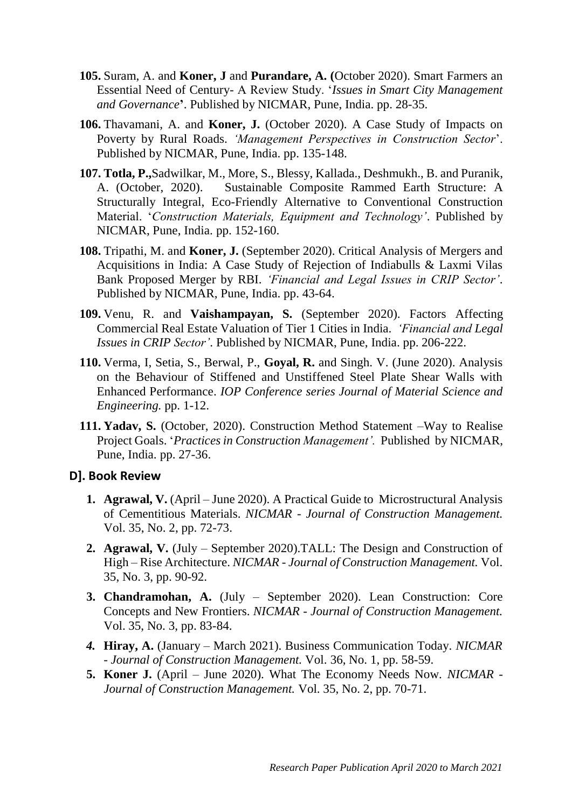- **105.** Suram, A. and **Koner, J** and **Purandare, A. (**October 2020). Smart Farmers an Essential Need of Century- A Review Study. '*Issues in Smart City Management and Governance***'**. Published by NICMAR, Pune, India. pp. 28-35.
- **106.** Thavamani, A. and **Koner, J.** (October 2020). A Case Study of Impacts on Poverty by Rural Roads. *'Management Perspectives in Construction Sector*'. Published by NICMAR, Pune, India. pp. 135-148.
- **107. Totla, P.,**Sadwilkar, M., More, S., Blessy, Kallada., Deshmukh., B. and Puranik, A. (October, 2020). Sustainable Composite Rammed Earth Structure: A Structurally Integral, Eco-Friendly Alternative to Conventional Construction Material. '*Construction Materials, Equipment and Technology'*. Published by NICMAR, Pune, India. pp. 152-160.
- **108.** Tripathi, M. and **Koner, J.** (September 2020). Critical Analysis of Mergers and Acquisitions in India: A Case Study of Rejection of Indiabulls & Laxmi Vilas Bank Proposed Merger by RBI. *'Financial and Legal Issues in CRIP Sector'*. Published by NICMAR, Pune, India. pp. 43-64.
- **109.** Venu, R. and **Vaishampayan, S.** (September 2020). Factors Affecting Commercial Real Estate Valuation of Tier 1 Cities in India. *'Financial and Legal Issues in CRIP Sector'*. Published by NICMAR, Pune, India. pp. 206-222.
- **110.** Verma, I, Setia, S., Berwal, P., **Goyal, R.** and Singh. V. (June 2020). Analysis on the Behaviour of Stiffened and Unstiffened Steel Plate Shear Walls with Enhanced Performance. *IOP Conference series Journal of Material Science and Engineering.* pp. 1-12.
- **111. Yadav, S.** (October, 2020). Construction Method Statement –Way to Realise Project Goals. '*Practices in Construction Management'.* Published by NICMAR, Pune, India. pp. 27-36.

### **D]. Book Review**

- **1. Agrawal, V.** (April June 2020). A Practical Guide to Microstructural Analysis of Cementitious Materials. *NICMAR - Journal of Construction Management.* Vol. 35, No. 2, pp. 72-73.
- **2. Agrawal, V.** (July September 2020).TALL: The Design and Construction of High – Rise Architecture. *NICMAR - Journal of Construction Management.* Vol. 35, No. 3, pp. 90-92.
- **3. Chandramohan, A.** (July September 2020). Lean Construction: Core Concepts and New Frontiers. *NICMAR - Journal of Construction Management.* Vol. 35, No. 3, pp. 83-84.
- *4.* **Hiray, A.** (January March 2021). Business Communication Today. *NICMAR - Journal of Construction Management.* Vol. 36, No. 1, pp. 58-59.
- **5. Koner J.** (April June 2020). What The Economy Needs Now. *NICMAR - Journal of Construction Management.* Vol. 35, No. 2, pp. 70-71.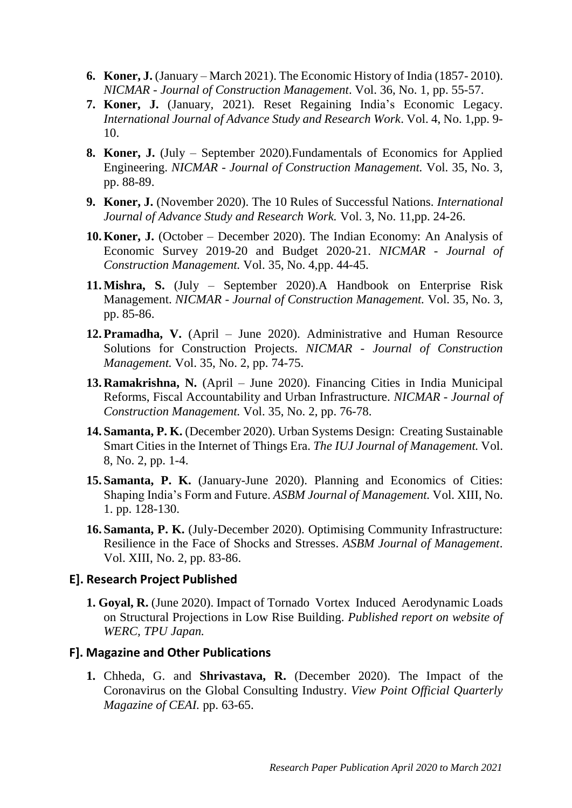- **6. Koner, J.** (January March 2021). The Economic History of India (1857- 2010). *NICMAR - Journal of Construction Management*. Vol. 36, No. 1, pp. 55-57.
- **7. Koner, J.** (January, 2021). Reset Regaining India's Economic Legacy. *International Journal of Advance Study and Research Work*. Vol. 4, No. 1,pp. 9- 10.
- **8. Koner, J.** (July September 2020).Fundamentals of Economics for Applied Engineering. *NICMAR - Journal of Construction Management.* Vol. 35, No. 3, pp. 88-89.
- **9. Koner, J.** (November 2020). The 10 Rules of Successful Nations. *International Journal of Advance Study and Research Work.* Vol. 3, No. 11,pp. 24-26.
- **10. Koner, J.** (October December 2020). The Indian Economy: An Analysis of Economic Survey 2019-20 and Budget 2020-21. *NICMAR - Journal of Construction Management.* Vol. 35, No. 4,pp. 44-45.
- **11.Mishra, S.** (July September 2020).A Handbook on Enterprise Risk Management. *NICMAR - Journal of Construction Management.* Vol. 35, No. 3, pp. 85-86.
- **12. Pramadha, V.** (April June 2020). Administrative and Human Resource Solutions for Construction Projects. *NICMAR - Journal of Construction Management.* Vol. 35, No. 2, pp. 74-75.
- **13. Ramakrishna, N.** (April June 2020). Financing Cities in India Municipal Reforms, Fiscal Accountability and Urban Infrastructure. *NICMAR - Journal of Construction Management.* Vol. 35, No. 2, pp. 76-78.
- **14. Samanta, P. K.** (December 2020). Urban Systems Design: Creating Sustainable Smart Cities in the Internet of Things Era. *The IUJ Journal of Management.* Vol. 8, No. 2, pp. 1-4.
- **15. Samanta, P. K.** (January-June 2020). Planning and Economics of Cities: Shaping India's Form and Future. *ASBM Journal of Management.* Vol. XIII, No. 1. pp. 128-130.
- **16. Samanta, P. K.** (July-December 2020). Optimising Community Infrastructure: Resilience in the Face of Shocks and Stresses. *ASBM Journal of Management*. Vol. XIII, No. 2, pp. 83-86.

### **E]. Research Project Published**

**1. Goyal, R.** (June 2020). Impact of Tornado Vortex Induced Aerodynamic Loads on Structural Projections in Low Rise Building. *Published report on website of WERC, TPU Japan.*

### **F]. Magazine and Other Publications**

**1.** Chheda, G. and **Shrivastava, R.** (December 2020). The Impact of the Coronavirus on the Global Consulting Industry. *View Point Official Quarterly Magazine of CEAI.* pp. 63-65.